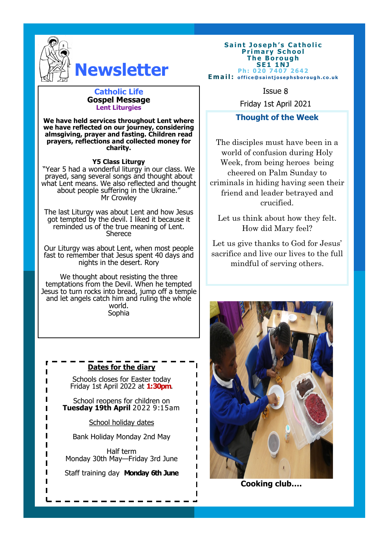

# **Newsletter**

## **Catholic Life Issue 8 Gospel Message Lent Liturgies**

**We have held services throughout Lent where we have reflected on our journey, considering almsgiving, prayer and fasting. Children read prayers, reflections and collected money for charity.**

### **Y5 Class Liturgy**

"Year 5 had a wonderful liturgy in our class. We prayed, sang several songs and thought about what Lent means. We also reflected and thought about people suffering in the Ukraine." Mr Crowley

The last Liturgy was about Lent and how Jesus got tempted by the devil. I liked it because it reminded us of the true meaning of Lent. **Sherece** 

Our Liturgy was about Lent, when most people fast to remember that Jesus spent 40 days and nights in the desert. Rory

We thought about resisting the three temptations from the Devil. When he tempted Jesus to turn rocks into bread, jump off a temple and let angels catch him and ruling the whole world. Sophia

# **Dates for the diary**

Schools closes for Easter today Friday 1st April 2022 at **1:30pm**.

School reopens for children on **Tuesday 19th April** 2022 9:15am

School holiday dates

Bank Holiday Monday 2nd May

Half term Monday 30th May—Friday 3rd June

Staff training day **Monday 6th June**

#### **Saint Joseph's Catholic Primary School T h e B o r o u g h S E 1 1 NJ Ph: 020 7407 2642 Email:** office@saintiosephsborough.co.uk

Friday 1st April 2021

# **Thought of the Week**

The disciples must have been in a world of confusion during Holy Week, from being heroes being cheered on Palm Sunday to criminals in hiding having seen their friend and leader betrayed and crucified.

Let us think about how they felt. How did Mary feel?

Let us give thanks to God for Jesus' sacrifice and live our lives to the full mindful of serving others.



**Cooking club….**